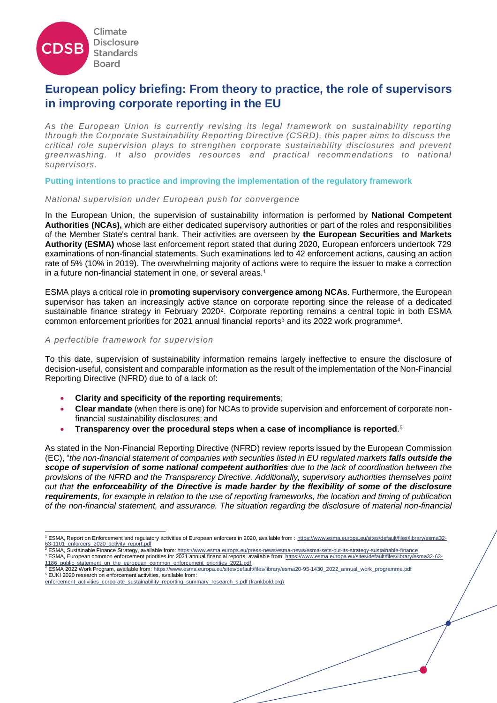

# **European policy briefing: From theory to practice, the role of supervisors in improving corporate reporting in the EU**

*As the European Union is currently revising its legal framework on sustainability reporting through the Corporate Sustainability Reporting Directive (CSRD), this paper aims to discuss the critical role supervision plays to strengthen corporate sustainability disclosures and prevent greenwashing. It also provides resources and practical recommendations to national supervisors.* 

**Putting intentions to practice and improving the implementation of the regulatory framework** 

## *National supervision under European push for convergence*

In the European Union, the supervision of sustainability information is performed by **National Competent Authorities (NCAs),** which are either dedicated supervisory authorities or part of the roles and responsibilities of the Member State's central bank. Their activities are overseen by **the European Securities and Markets Authority (ESMA)** whose last enforcement report stated that during 2020, European enforcers undertook 729 examinations of non-financial statements. Such examinations led to 42 enforcement actions, causing an action rate of 5% (10% in 2019). The overwhelming majority of actions were to require the issuer to make a correction in a future non-financial statement in one, or several areas.<sup>1</sup>

ESMA plays a critical role in **promoting supervisory convergence among NCAs**. Furthermore, the European supervisor has taken an increasingly active stance on corporate reporting since the release of a dedicated sustainable finance strategy in February 2020<sup>2</sup>. Corporate reporting remains a central topic in both ESMA common enforcement priorities for 2021 annual financial reports<sup>3</sup> and its 2022 work programme<sup>4</sup>.

#### *A perfectible framework for supervision*

To this date, supervision of sustainability information remains largely ineffective to ensure the disclosure of decision-useful, consistent and comparable information as the result of the implementation of the Non-Financial Reporting Directive (NFRD) due to of a lack of:

- **Clarity and specificity of the reporting requirements**;
- **Clear mandate** (when there is one) for NCAs to provide supervision and enforcement of corporate nonfinancial sustainability disclosures; and
- **Transparency over the procedural steps when a case of incompliance is reported**. 5

As stated in the Non-Financial Reporting Directive (NFRD) review reports issued by the European Commission (EC), "*the non-financial statement of companies with securities listed in EU regulated markets falls outside the scope of supervision of some national competent authorities due to the lack of coordination between the provisions of the NFRD and the Transparency Directive. Additionally, supervisory authorities themselves point out that the enforceability of the Directive is made harder by the flexibility of some of the disclosure requirements, for example in relation to the use of reporting frameworks, the location and timing of publication of the non-financial statement, and assurance. The situation regarding the disclosure of material non-financial* 

- <sup>2</sup> ESMA, Sustainable Finance Strategy, available from[: https://www.esma.europa.eu/press-news/esma-news/esma-sets-out-its-strategy-sustainable-finance](https://www.esma.europa.eu/press-news/esma-news/esma-sets-out-its-strategy-sustainable-finance)
- <sup>3</sup> ESMA, European common enforcement priorities for 2021 annual financial reports, available from[: https://www.esma.europa.eu/sites/default/files/library/esma32-63-](https://www.esma.europa.eu/sites/default/files/library/esma32-63-1186_public_statement_on_the_european_common_enforcement_priorities_2021.pdf) 1186 public statement on the european common enforcement priorities 2021.pdf

<sup>1</sup> ESMA, Report on Enforcement and regulatory activities of European enforcers in 2020, available from : [https://www.esma.europa.eu/sites/default/files/library/esma32-](https://www.esma.europa.eu/sites/default/files/library/esma32-63-1101_enforcers_2020_activity_report.pdf) [63-1101\\_enforcers\\_2020\\_activity\\_report.pdf](https://www.esma.europa.eu/sites/default/files/library/esma32-63-1101_enforcers_2020_activity_report.pdf)

<sup>4</sup> ESMA 2022 Work Program, available from: [https://www.esma.europa.eu/sites/default/files/library/esma20-95-1430\\_2022\\_annual\\_work\\_programme.pdf](https://www.esma.europa.eu/sites/default/files/library/esma20-95-1430_2022_annual_work_programme.pdf)

<sup>5</sup> EUKI 2020 research on enforcement activities, available from:

[enforcement\\_activities\\_corporate\\_sustainability\\_reporting\\_summary\\_research\\_s.pdf \(frankbold.org\)](https://en.frankbold.org/sites/default/files/publikace/enforcement_activities_corporate_sustainability_reporting_summary_research_s.pdf)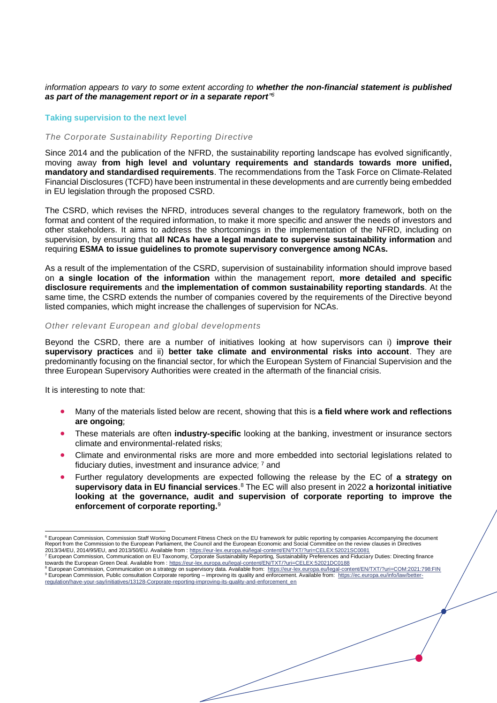## *information appears to vary to some extent according to whether the non-financial statement is published as part of the management report or in a separate report" 6*

# **Taking supervision to the next level**

# *The Corporate Sustainability Reporting Directive*

Since 2014 and the publication of the NFRD, the sustainability reporting landscape has evolved significantly, moving away **from high level and voluntary requirements and standards towards more unified, mandatory and standardised requirements**. The recommendations from the Task Force on Climate-Related Financial Disclosures (TCFD) have been instrumental in these developments and are currently being embedded in EU legislation through the proposed CSRD.

The CSRD, which revises the NFRD, introduces several changes to the regulatory framework, both on the format and content of the required information, to make it more specific and answer the needs of investors and other stakeholders. It aims to address the shortcomings in the implementation of the NFRD, including on supervision, by ensuring that **all NCAs have a legal mandate to supervise sustainability information** and requiring **ESMA to issue guidelines to promote supervisory convergence among NCAs.** 

As a result of the implementation of the CSRD, supervision of sustainability information should improve based on **a single location of the information** within the management report, **more detailed and specific disclosure requirements** and **the implementation of common sustainability reporting standards**. At the same time, the CSRD extends the number of companies covered by the requirements of the Directive beyond listed companies, which might increase the challenges of supervision for NCAs.

## *Other relevant European and global developments*

Beyond the CSRD, there are a number of initiatives looking at how supervisors can i) **improve their supervisory practices** and ii) **better take climate and environmental risks into account**. They are predominantly focusing on the financial sector, for which the European System of Financial Supervision and the three European Supervisory Authorities were created in the aftermath of the financial crisis.

It is interesting to note that:

- Many of the materials listed below are recent, showing that this is **a field where work and reflections are ongoing;**
- These materials are often **industry-specific** looking at the banking, investment or insurance sectors climate and environmental-related risks;
- Climate and environmental risks are more and more embedded into sectorial legislations related to fiduciary duties, investment and insurance advice; <sup>7</sup> and
- Further regulatory developments are expected following the release by the EC of **a strategy on supervisory data in EU financial services**. <sup>8</sup> The EC will also present in 2022 **a horizontal initiative looking at the governance, audit and supervision of corporate reporting to improve the enforcement of corporate reporting.** 9

<sup>&</sup>lt;sup>6</sup> European Commission, Commission Staff Working Document Fitness Check on the EU framework for public reporting by companies Accompanying the document<br>Report from the Commission to the European Parliament, the Council an

<sup>2013/34/</sup>EU, 2014/95/EU, and 2013/50/EU. Available from : <u>https://eur-lex.europa.eu/legal-content/EN/TXT/?uri=CELEX:52021SC0081</u><br><sup>7</sup> European Commission, Communication on EU Taxonomy, Corporate Sustainability Reporting, Su towards the European Green Deal. Available from :<https://eur-lex.europa.eu/legal-content/EN/TXT/?uri=CELEX:52021DC0188>

<sup>8</sup> European Commission, Communication on a strategy on supervisory data. Available from:<https://eur-lex.europa.eu/legal-content/EN/TXT/?uri=COM:2021:798:FIN> 9 European Commission, Public consultation Corporate reporting – improving its quality and enforcement. Available from: [https://ec.europa.eu/info/law/better](https://ec.europa.eu/info/law/better-regulation/have-your-say/initiatives/13128-Corporate-reporting-improving-its-quality-and-enforcement_en)[regulation/have-your-say/initiatives/13128-Corporate-reporting-improving-its-quality-and-enforcement\\_en](https://ec.europa.eu/info/law/better-regulation/have-your-say/initiatives/13128-Corporate-reporting-improving-its-quality-and-enforcement_en)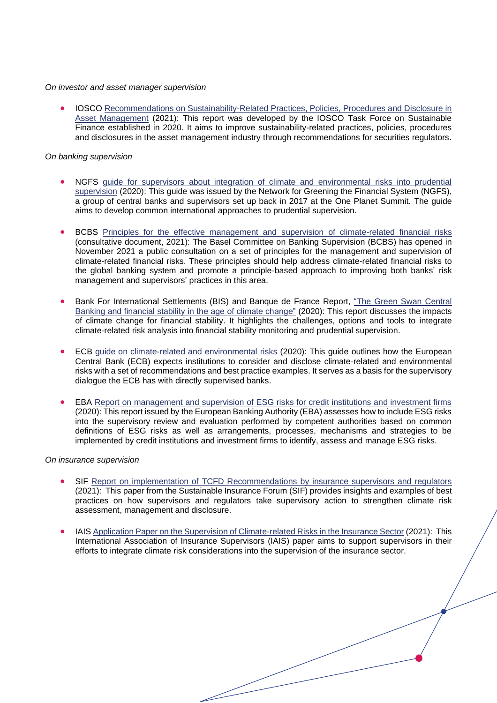#### *On investor and asset manager supervision*

• IOSCO [Recommendations on Sustainability-Related Practices, Policies, Procedures and Disclosure in](https://www.iosco.org/library/pubdocs/pdf/IOSCOPD688.pdf)  [Asset Management](https://www.iosco.org/library/pubdocs/pdf/IOSCOPD688.pdf) (2021): This report was developed by the IOSCO Task Force on Sustainable Finance established in 2020. It aims to improve sustainability-related practices, policies, procedures and disclosures in the asset management industry through recommendations for securities regulators.

## *On banking supervision*

- NGFS [guide for supervisors about integration of climate and environmental risks into prudential](https://www.ngfs.net/sites/default/files/medias/documents/ngfs_guide_for_supervisors.pdf)  [supervision](https://www.ngfs.net/sites/default/files/medias/documents/ngfs_guide_for_supervisors.pdf) (2020): This guide was issued by the Network for Greening the Financial System (NGFS), a group of central banks and supervisors set up back in 2017 at the One Planet Summit. The guide aims to develop common international approaches to prudential supervision.
- BCBS [Principles for the effective management and supervision of climate-related financial risks](https://www.bis.org/bcbs/publ/d530.htm) (consultative document, 2021): The Basel Committee on Banking Supervision (BCBS) has opened in November 2021 a public consultation on a set of principles for the management and supervision of climate-related financial risks. These principles should help address climate-related financial risks to the global banking system and promote a principle-based approach to improving both banks' risk management and supervisors' practices in this area.
- Bank For International Settlements (BIS) and Banque de France Report, ["The Green Swan](https://www.bis.org/publ/othp31.pdf) Central [Banking and financial stability in the age of climate change"](https://www.bis.org/publ/othp31.pdf) (2020): This report discusses the impacts of climate change for financial stability. It highlights the challenges, options and tools to integrate climate-related risk analysis into financial stability monitoring and prudential supervision.
- ECB [guide on climate-related and environmental risks](https://cdp076-my.sharepoint.com/personal/axelle_blanchard_cdsb_net/Documents/Documents/Supervision/integrating%20climate-related%20risk%20analysis%20into%20financial%20stability%20monitoring%20and) (2020): This guide outlines how the European Central Bank (ECB) expects institutions to consider and disclose climate-related and environmental risks with a set of recommendations and best practice examples. It serves as a basis for the supervisory dialogue the ECB has with directly supervised banks.
- EBA [Report on management and supervision of ESG risks for credit institutions and investment firms](https://www.eba.europa.eu/sites/default/documents/files/document_library/Publications/Reports/2021/1015656/EBA%20Report%20on%20ESG%20risks%20management%20and%20supervision.pdf) (2020): This report issued by the European Banking Authority (EBA) assesses how to include ESG risks into the supervisory review and evaluation performed by competent authorities based on common definitions of ESG risks as well as arrangements, processes, mechanisms and strategies to be implemented by credit institutions and investment firms to identify, assess and manage ESG risks.

## *On insurance supervision*

- SIF [Report on implementation of TCFD Recommendations by insurance supervisors and regulators](https://www.sustainableinsuranceforum.org/view_pdf.php?pdf_file=wp-content/uploads/2021/11/SIF-TCFD-Paper-1.pdf) (2021): This paper from the Sustainable Insurance Forum (SIF) provides insights and examples of best practices on how supervisors and regulators take supervisory action to strengthen climate risk assessment, management and disclosure.
- IAIS [Application Paper on the Supervision of Climate-related Risks in the Insurance Sector](https://www.iaisweb.org/page/supervisory-material/application-papers/file/97146/application-paper-on-the-supervision-of-climate-related-risks-in-the-insurance-sector) (2021): This International Association of Insurance Supervisors (IAIS) paper aims to support supervisors in their efforts to integrate climate risk considerations into the supervision of the insurance sector.